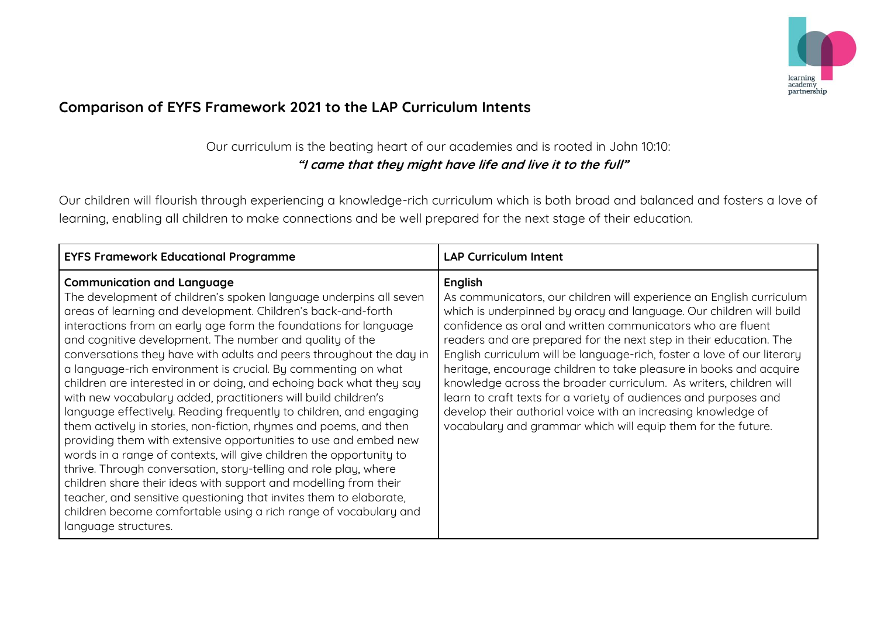

## **Comparison of EYFS Framework 2021 to the LAP Curriculum Intents**

## Our curriculum is the beating heart of our academies and is rooted in John 10:10: **"I came that they might have life and live it to the full"**

Our children will flourish through experiencing a knowledge-rich curriculum which is both broad and balanced and fosters a love of learning, enabling all children to make connections and be well prepared for the next stage of their education.

| <b>EYFS Framework Educational Programme</b>                                                                                                                                                                                                                                                                                                                                                                                                                                                                                                                                                                                                                                                                                                                                                                                                                                                                                                                                                                                                                                                                                                                                             | <b>LAP Curriculum Intent</b>                                                                                                                                                                                                                                                                                                                                                                                                                                                                                                                                                                                                                                                                                            |
|-----------------------------------------------------------------------------------------------------------------------------------------------------------------------------------------------------------------------------------------------------------------------------------------------------------------------------------------------------------------------------------------------------------------------------------------------------------------------------------------------------------------------------------------------------------------------------------------------------------------------------------------------------------------------------------------------------------------------------------------------------------------------------------------------------------------------------------------------------------------------------------------------------------------------------------------------------------------------------------------------------------------------------------------------------------------------------------------------------------------------------------------------------------------------------------------|-------------------------------------------------------------------------------------------------------------------------------------------------------------------------------------------------------------------------------------------------------------------------------------------------------------------------------------------------------------------------------------------------------------------------------------------------------------------------------------------------------------------------------------------------------------------------------------------------------------------------------------------------------------------------------------------------------------------------|
| <b>Communication and Language</b><br>The development of children's spoken language underpins all seven<br>areas of learning and development. Children's back-and-forth<br>interactions from an early age form the foundations for language<br>and cognitive development. The number and quality of the<br>conversations they have with adults and peers throughout the day in<br>a language-rich environment is crucial. By commenting on what<br>children are interested in or doing, and echoing back what they say<br>with new vocabulary added, practitioners will build children's<br>language effectively. Reading frequently to children, and engaging<br>them actively in stories, non-fiction, rhymes and poems, and then<br>providing them with extensive opportunities to use and embed new<br>words in a range of contexts, will give children the opportunity to<br>thrive. Through conversation, story-telling and role play, where<br>children share their ideas with support and modelling from their<br>teacher, and sensitive questioning that invites them to elaborate,<br>children become comfortable using a rich range of vocabulary and<br>language structures. | English<br>As communicators, our children will experience an English curriculum<br>which is underpinned by oracy and language. Our children will build<br>confidence as oral and written communicators who are fluent<br>readers and are prepared for the next step in their education. The<br>English curriculum will be language-rich, foster a love of our literary<br>heritage, encourage children to take pleasure in books and acquire<br>knowledge across the broader curriculum. As writers, children will<br>learn to craft texts for a variety of audiences and purposes and<br>develop their authorial voice with an increasing knowledge of<br>vocabulary and grammar which will equip them for the future. |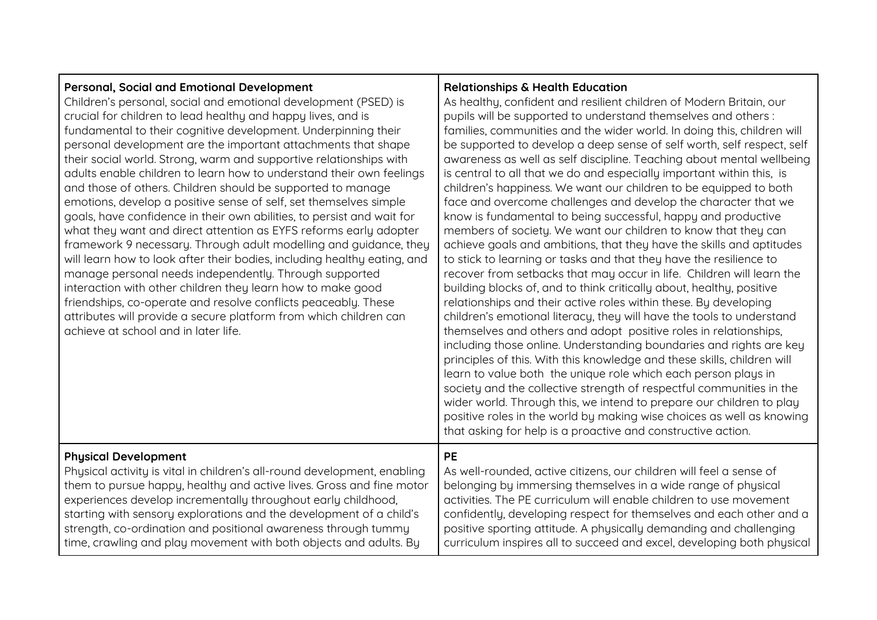| Personal, Social and Emotional Development<br>Children's personal, social and emotional development (PSED) is<br>crucial for children to lead healthy and happy lives, and is<br>fundamental to their cognitive development. Underpinning their<br>personal development are the important attachments that shape<br>their social world. Strong, warm and supportive relationships with<br>adults enable children to learn how to understand their own feelings<br>and those of others. Children should be supported to manage<br>emotions, develop a positive sense of self, set themselves simple<br>goals, have confidence in their own abilities, to persist and wait for<br>what they want and direct attention as EYFS reforms early adopter<br>framework 9 necessary. Through adult modelling and guidance, they<br>will learn how to look after their bodies, including healthy eating, and<br>manage personal needs independently. Through supported<br>interaction with other children they learn how to make good<br>friendships, co-operate and resolve conflicts peaceably. These<br>attributes will provide a secure platform from which children can<br>achieve at school and in later life. | <b>Relationships &amp; Health Education</b><br>As healthy, confident and resilient children of Modern Britain, our<br>pupils will be supported to understand themselves and others:<br>families, communities and the wider world. In doing this, children will<br>be supported to develop a deep sense of self worth, self respect, self<br>awareness as well as self discipline. Teaching about mental wellbeing<br>is central to all that we do and especially important within this, is<br>children's happiness. We want our children to be equipped to both<br>face and overcome challenges and develop the character that we<br>know is fundamental to being successful, happy and productive<br>members of society. We want our children to know that they can<br>achieve goals and ambitions, that they have the skills and aptitudes<br>to stick to learning or tasks and that they have the resilience to<br>recover from setbacks that may occur in life. Children will learn the<br>building blocks of, and to think critically about, healthy, positive<br>relationships and their active roles within these. By developing<br>children's emotional literacy, they will have the tools to understand<br>themselves and others and adopt positive roles in relationships,<br>including those online. Understanding boundaries and rights are key<br>principles of this. With this knowledge and these skills, children will<br>learn to value both the unique role which each person plays in<br>society and the collective strength of respectful communities in the<br>wider world. Through this, we intend to prepare our children to play<br>positive roles in the world by making wise choices as well as knowing<br>that asking for help is a proactive and constructive action. |
|------------------------------------------------------------------------------------------------------------------------------------------------------------------------------------------------------------------------------------------------------------------------------------------------------------------------------------------------------------------------------------------------------------------------------------------------------------------------------------------------------------------------------------------------------------------------------------------------------------------------------------------------------------------------------------------------------------------------------------------------------------------------------------------------------------------------------------------------------------------------------------------------------------------------------------------------------------------------------------------------------------------------------------------------------------------------------------------------------------------------------------------------------------------------------------------------------------|---------------------------------------------------------------------------------------------------------------------------------------------------------------------------------------------------------------------------------------------------------------------------------------------------------------------------------------------------------------------------------------------------------------------------------------------------------------------------------------------------------------------------------------------------------------------------------------------------------------------------------------------------------------------------------------------------------------------------------------------------------------------------------------------------------------------------------------------------------------------------------------------------------------------------------------------------------------------------------------------------------------------------------------------------------------------------------------------------------------------------------------------------------------------------------------------------------------------------------------------------------------------------------------------------------------------------------------------------------------------------------------------------------------------------------------------------------------------------------------------------------------------------------------------------------------------------------------------------------------------------------------------------------------------------------------------------------------------------------------------------------------------------------------------------|
| <b>Physical Development</b>                                                                                                                                                                                                                                                                                                                                                                                                                                                                                                                                                                                                                                                                                                                                                                                                                                                                                                                                                                                                                                                                                                                                                                                | <b>PE</b>                                                                                                                                                                                                                                                                                                                                                                                                                                                                                                                                                                                                                                                                                                                                                                                                                                                                                                                                                                                                                                                                                                                                                                                                                                                                                                                                                                                                                                                                                                                                                                                                                                                                                                                                                                                         |
| Physical activity is vital in children's all-round development, enabling                                                                                                                                                                                                                                                                                                                                                                                                                                                                                                                                                                                                                                                                                                                                                                                                                                                                                                                                                                                                                                                                                                                                   | As well-rounded, active citizens, our children will feel a sense of                                                                                                                                                                                                                                                                                                                                                                                                                                                                                                                                                                                                                                                                                                                                                                                                                                                                                                                                                                                                                                                                                                                                                                                                                                                                                                                                                                                                                                                                                                                                                                                                                                                                                                                               |
| them to pursue happy, healthy and active lives. Gross and fine motor                                                                                                                                                                                                                                                                                                                                                                                                                                                                                                                                                                                                                                                                                                                                                                                                                                                                                                                                                                                                                                                                                                                                       | belonging by immersing themselves in a wide range of physical                                                                                                                                                                                                                                                                                                                                                                                                                                                                                                                                                                                                                                                                                                                                                                                                                                                                                                                                                                                                                                                                                                                                                                                                                                                                                                                                                                                                                                                                                                                                                                                                                                                                                                                                     |
| experiences develop incrementally throughout early childhood,                                                                                                                                                                                                                                                                                                                                                                                                                                                                                                                                                                                                                                                                                                                                                                                                                                                                                                                                                                                                                                                                                                                                              | activities. The PE curriculum will enable children to use movement                                                                                                                                                                                                                                                                                                                                                                                                                                                                                                                                                                                                                                                                                                                                                                                                                                                                                                                                                                                                                                                                                                                                                                                                                                                                                                                                                                                                                                                                                                                                                                                                                                                                                                                                |
| starting with sensory explorations and the development of a child's                                                                                                                                                                                                                                                                                                                                                                                                                                                                                                                                                                                                                                                                                                                                                                                                                                                                                                                                                                                                                                                                                                                                        | confidently, developing respect for themselves and each other and a                                                                                                                                                                                                                                                                                                                                                                                                                                                                                                                                                                                                                                                                                                                                                                                                                                                                                                                                                                                                                                                                                                                                                                                                                                                                                                                                                                                                                                                                                                                                                                                                                                                                                                                               |
| strength, co-ordination and positional awareness through tummy                                                                                                                                                                                                                                                                                                                                                                                                                                                                                                                                                                                                                                                                                                                                                                                                                                                                                                                                                                                                                                                                                                                                             | positive sporting attitude. A physically demanding and challenging                                                                                                                                                                                                                                                                                                                                                                                                                                                                                                                                                                                                                                                                                                                                                                                                                                                                                                                                                                                                                                                                                                                                                                                                                                                                                                                                                                                                                                                                                                                                                                                                                                                                                                                                |
| time, crawling and play movement with both objects and adults. By                                                                                                                                                                                                                                                                                                                                                                                                                                                                                                                                                                                                                                                                                                                                                                                                                                                                                                                                                                                                                                                                                                                                          | curriculum inspires all to succeed and excel, developing both physical                                                                                                                                                                                                                                                                                                                                                                                                                                                                                                                                                                                                                                                                                                                                                                                                                                                                                                                                                                                                                                                                                                                                                                                                                                                                                                                                                                                                                                                                                                                                                                                                                                                                                                                            |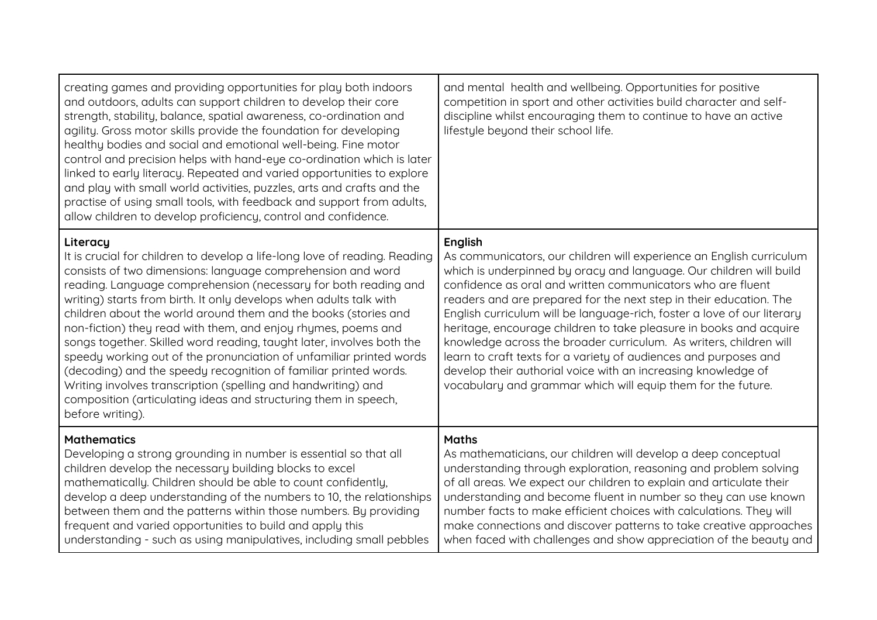| creating games and providing opportunities for play both indoors<br>and outdoors, adults can support children to develop their core<br>strength, stability, balance, spatial awareness, co-ordination and<br>agility. Gross motor skills provide the foundation for developing<br>healthy bodies and social and emotional well-being. Fine motor<br>control and precision helps with hand-eye co-ordination which is later<br>linked to early literacy. Repeated and varied opportunities to explore<br>and play with small world activities, puzzles, arts and crafts and the<br>practise of using small tools, with feedback and support from adults,<br>allow children to develop proficiency, control and confidence.                                                                                      | and mental health and wellbeing. Opportunities for positive<br>competition in sport and other activities build character and self-<br>discipline whilst encouraging them to continue to have an active<br>lifestyle beyond their school life.                                                                                                                                                                                                                                                                                                                                                                                                                                                                           |
|----------------------------------------------------------------------------------------------------------------------------------------------------------------------------------------------------------------------------------------------------------------------------------------------------------------------------------------------------------------------------------------------------------------------------------------------------------------------------------------------------------------------------------------------------------------------------------------------------------------------------------------------------------------------------------------------------------------------------------------------------------------------------------------------------------------|-------------------------------------------------------------------------------------------------------------------------------------------------------------------------------------------------------------------------------------------------------------------------------------------------------------------------------------------------------------------------------------------------------------------------------------------------------------------------------------------------------------------------------------------------------------------------------------------------------------------------------------------------------------------------------------------------------------------------|
| Literacy<br>It is crucial for children to develop a life-long love of reading. Reading<br>consists of two dimensions: language comprehension and word<br>reading. Language comprehension (necessary for both reading and<br>writing) starts from birth. It only develops when adults talk with<br>children about the world around them and the books (stories and<br>non-fiction) they read with them, and enjoy rhymes, poems and<br>songs together. Skilled word reading, taught later, involves both the<br>speedy working out of the pronunciation of unfamiliar printed words<br>(decoding) and the speedy recognition of familiar printed words.<br>Writing involves transcription (spelling and handwriting) and<br>composition (articulating ideas and structuring them in speech,<br>before writing). | English<br>As communicators, our children will experience an English curriculum<br>which is underpinned by oracy and language. Our children will build<br>confidence as oral and written communicators who are fluent<br>readers and are prepared for the next step in their education. The<br>English curriculum will be language-rich, foster a love of our literary<br>heritage, encourage children to take pleasure in books and acquire<br>knowledge across the broader curriculum. As writers, children will<br>learn to craft texts for a variety of audiences and purposes and<br>develop their authorial voice with an increasing knowledge of<br>vocabulary and grammar which will equip them for the future. |
| <b>Mathematics</b><br>Developing a strong grounding in number is essential so that all<br>children develop the necessary building blocks to excel<br>mathematically. Children should be able to count confidently,<br>develop a deep understanding of the numbers to 10, the relationships<br>between them and the patterns within those numbers. By providing<br>frequent and varied opportunities to build and apply this<br>understanding - such as using manipulatives, including small pebbles                                                                                                                                                                                                                                                                                                            | <b>Maths</b><br>As mathematicians, our children will develop a deep conceptual<br>understanding through exploration, reasoning and problem solving<br>of all areas. We expect our children to explain and articulate their<br>understanding and become fluent in number so they can use known<br>number facts to make efficient choices with calculations. They will<br>make connections and discover patterns to take creative approaches<br>when faced with challenges and show appreciation of the beauty and                                                                                                                                                                                                        |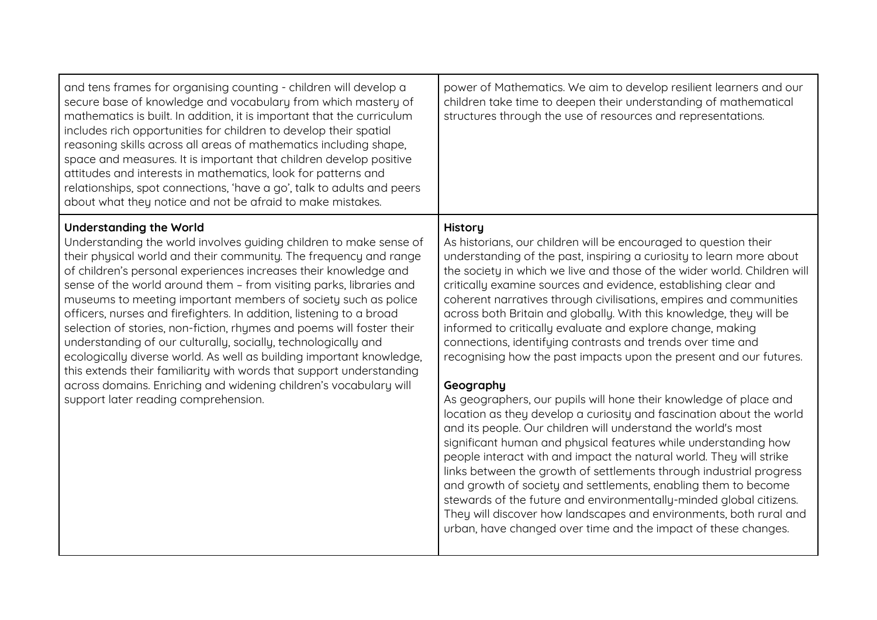| and tens frames for organising counting - children will develop a<br>secure base of knowledge and vocabulary from which mastery of<br>mathematics is built. In addition, it is important that the curriculum<br>includes rich opportunities for children to develop their spatial<br>reasoning skills across all areas of mathematics including shape,<br>space and measures. It is important that children develop positive<br>attitudes and interests in mathematics, look for patterns and<br>relationships, spot connections, 'have a go', talk to adults and peers<br>about what they notice and not be afraid to make mistakes.                                                                                                                                                                                                                                  | power of Mathematics. We aim to develop resilient learners and our<br>children take time to deepen their understanding of mathematical<br>structures through the use of resources and representations.                                                                                                                                                                                                                                                                                                                                                                                                                                                                                                                                                                                                                                                                                                                                                                                                                                                                                                                                                                                                                                                                                                                                                                         |
|------------------------------------------------------------------------------------------------------------------------------------------------------------------------------------------------------------------------------------------------------------------------------------------------------------------------------------------------------------------------------------------------------------------------------------------------------------------------------------------------------------------------------------------------------------------------------------------------------------------------------------------------------------------------------------------------------------------------------------------------------------------------------------------------------------------------------------------------------------------------|--------------------------------------------------------------------------------------------------------------------------------------------------------------------------------------------------------------------------------------------------------------------------------------------------------------------------------------------------------------------------------------------------------------------------------------------------------------------------------------------------------------------------------------------------------------------------------------------------------------------------------------------------------------------------------------------------------------------------------------------------------------------------------------------------------------------------------------------------------------------------------------------------------------------------------------------------------------------------------------------------------------------------------------------------------------------------------------------------------------------------------------------------------------------------------------------------------------------------------------------------------------------------------------------------------------------------------------------------------------------------------|
| <b>Understanding the World</b><br>Understanding the world involves guiding children to make sense of<br>their physical world and their community. The frequency and range<br>of children's personal experiences increases their knowledge and<br>sense of the world around them - from visiting parks, libraries and<br>museums to meeting important members of society such as police<br>officers, nurses and firefighters. In addition, listening to a broad<br>selection of stories, non-fiction, rhymes and poems will foster their<br>understanding of our culturally, socially, technologically and<br>ecologically diverse world. As well as building important knowledge,<br>this extends their familiarity with words that support understanding<br>across domains. Enriching and widening children's vocabulary will<br>support later reading comprehension. | History<br>As historians, our children will be encouraged to question their<br>understanding of the past, inspiring a curiosity to learn more about<br>the society in which we live and those of the wider world. Children will<br>critically examine sources and evidence, establishing clear and<br>coherent narratives through civilisations, empires and communities<br>across both Britain and globally. With this knowledge, they will be<br>informed to critically evaluate and explore change, making<br>connections, identifying contrasts and trends over time and<br>recognising how the past impacts upon the present and our futures.<br>Geography<br>As geographers, our pupils will hone their knowledge of place and<br>location as they develop a curiosity and fascination about the world<br>and its people. Our children will understand the world's most<br>significant human and physical features while understanding how<br>people interact with and impact the natural world. They will strike<br>links between the growth of settlements through industrial progress<br>and growth of society and settlements, enabling them to become<br>stewards of the future and environmentally-minded global citizens.<br>They will discover how landscapes and environments, both rural and<br>urban, have changed over time and the impact of these changes. |